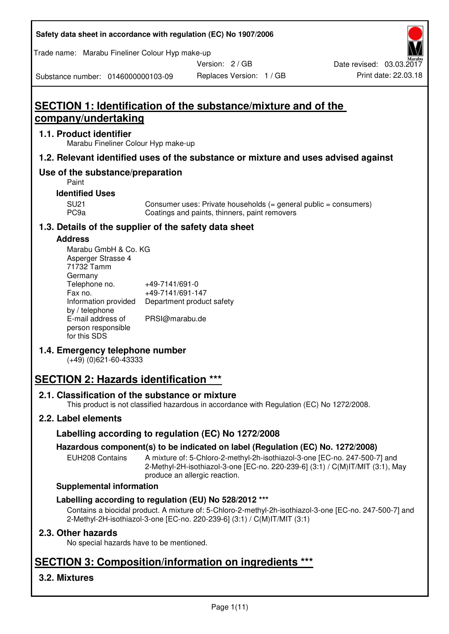| Safety data sheet in accordance with regulation (EC) No 1907/2006 |  |
|-------------------------------------------------------------------|--|
|-------------------------------------------------------------------|--|

Trade name: Marabu Fineliner Colour Hyp make-up

Version: 2 / GB

Replaces Version: 1 / GB Print date: 22.03.18 Date revised: 03.03.2017

Substance number: 0146000000103-09

# **SECTION 1: Identification of the substance/mixture and of the company/undertaking**

#### **1.1. Product identifier**

Marabu Fineliner Colour Hyp make-up

## **1.2. Relevant identified uses of the substance or mixture and uses advised against**

## **Use of the substance/preparation**

Paint

#### **Identified Uses**

SU21 Consumer uses: Private households (= general public = consumers)<br>PC9a Coatings and paints, thinners, paint removers Coatings and paints, thinners, paint removers

## **1.3. Details of the supplier of the safety data sheet**

#### **Address**

| Marabu GmbH & Co. KG |                           |
|----------------------|---------------------------|
| Asperger Strasse 4   |                           |
| 71732 Tamm           |                           |
| Germany              |                           |
| Telephone no.        | +49-7141/691-0            |
| Fax no.              | +49-7141/691-147          |
| Information provided | Department product safety |
| by / telephone       |                           |
| E-mail address of    | PRSI@marabu.de            |
| person responsible   |                           |
| for this SDS         |                           |

## **1.4. Emergency telephone number**

(+49) (0)621-60-43333

# **SECTION 2: Hazards identification \*\*\***

#### **2.1. Classification of the substance or mixture**

This product is not classified hazardous in accordance with Regulation (EC) No 1272/2008.

## **2.2. Label elements**

#### **Labelling according to regulation (EC) No 1272/2008**

#### **Hazardous component(s) to be indicated on label (Regulation (EC) No. 1272/2008)**

EUH208 Contains A mixture of: 5-Chloro-2-methyl-2h-isothiazol-3-one [EC-no. 247-500-7] and 2-Methyl-2H-isothiazol-3-one [EC-no. 220-239-6] (3:1) / C(M)IT/MIT (3:1), May produce an allergic reaction.

#### **Supplemental information**

#### **Labelling according to regulation (EU) No 528/2012 \*\*\***

Contains a biocidal product. A mixture of: 5-Chloro-2-methyl-2h-isothiazol-3-one [EC-no. 247-500-7] and 2-Methyl-2H-isothiazol-3-one [EC-no. 220-239-6] (3:1) / C(M)IT/MIT (3:1)

#### **2.3. Other hazards**

No special hazards have to be mentioned.

# **SECTION 3: Composition/information on ingredients \*\*\***

## **3.2. Mixtures**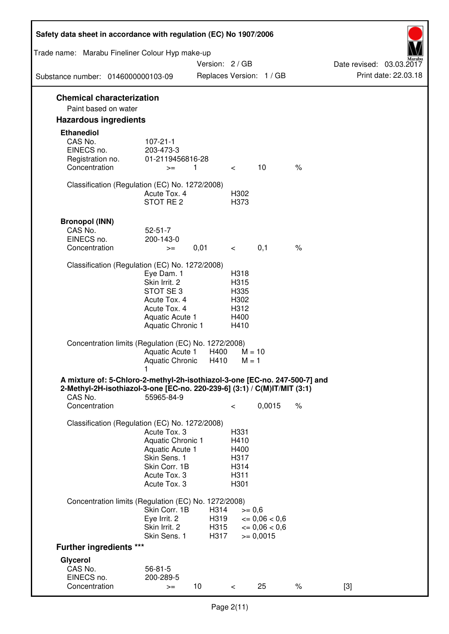| Safety data sheet in accordance with regulation (EC) No 1907/2006                                                                                                 |                                                                                                                       |                      |                                                      |                                              |      |                          |
|-------------------------------------------------------------------------------------------------------------------------------------------------------------------|-----------------------------------------------------------------------------------------------------------------------|----------------------|------------------------------------------------------|----------------------------------------------|------|--------------------------|
| Trade name: Marabu Fineliner Colour Hyp make-up                                                                                                                   |                                                                                                                       | Version: 2 / GB      |                                                      |                                              |      | Date revised: 03.03.2017 |
| Substance number: 0146000000103-09                                                                                                                                |                                                                                                                       |                      |                                                      | Replaces Version: 1 / GB                     |      | Print date: 22.03.18     |
| <b>Chemical characterization</b><br>Paint based on water                                                                                                          |                                                                                                                       |                      |                                                      |                                              |      |                          |
| <b>Hazardous ingredients</b>                                                                                                                                      |                                                                                                                       |                      |                                                      |                                              |      |                          |
| <b>Ethanediol</b><br>CAS No.<br>EINECS no.<br>Registration no.<br>Concentration                                                                                   | $107 - 21 - 1$<br>203-473-3<br>01-2119456816-28<br>$>=$                                                               | $\overline{1}$       | $\lt$                                                | 10                                           | $\%$ |                          |
| Classification (Regulation (EC) No. 1272/2008)                                                                                                                    | Acute Tox, 4<br>STOT RE <sub>2</sub>                                                                                  |                      | H302<br>H373                                         |                                              |      |                          |
| <b>Bronopol (INN)</b><br>CAS No.<br>EINECS no.<br>Concentration                                                                                                   | $52 - 51 - 7$<br>200-143-0<br>$>=$                                                                                    | 0,01                 | $\overline{\phantom{0}}$                             | 0,1                                          | $\%$ |                          |
| Classification (Regulation (EC) No. 1272/2008)                                                                                                                    | Eye Dam. 1<br>Skin Irrit. 2<br>STOT SE3<br>Acute Tox. 4<br>Acute Tox. 4<br>Aquatic Acute 1<br>Aquatic Chronic 1       |                      | H318<br>H315<br>H335<br>H302<br>H312<br>H400<br>H410 |                                              |      |                          |
| Concentration limits (Regulation (EC) No. 1272/2008)                                                                                                              | Aquatic Acute 1<br>Aquatic Chronic                                                                                    | H400<br>H410         | $M = 10$<br>$M = 1$                                  |                                              |      |                          |
| A mixture of: 5-Chloro-2-methyl-2h-isothiazol-3-one [EC-no. 247-500-7] and<br>2-Methyl-2H-isothiazol-3-one [EC-no. 220-239-6] (3:1) / C(M)IT/MIT (3:1)<br>CAS No. | 55965-84-9                                                                                                            |                      |                                                      |                                              |      |                          |
| Concentration                                                                                                                                                     |                                                                                                                       |                      | $\,<\,$                                              | 0,0015                                       | $\%$ |                          |
| Classification (Regulation (EC) No. 1272/2008)                                                                                                                    | Acute Tox. 3<br>Aquatic Chronic 1<br>Aquatic Acute 1<br>Skin Sens. 1<br>Skin Corr. 1B<br>Acute Tox. 3<br>Acute Tox. 3 |                      | H331<br>H410<br>H400<br>H317<br>H314<br>H311<br>H301 |                                              |      |                          |
| Concentration limits (Regulation (EC) No. 1272/2008)                                                                                                              | Skin Corr. 1B<br>Eye Irrit. 2<br>Skin Irrit. 2                                                                        | H314<br>H319<br>H315 | $>= 0,6$                                             | $\epsilon = 0.06 < 0.6$<br>$\leq 0.06 < 0.6$ |      |                          |
| <b>Further ingredients ***</b>                                                                                                                                    | Skin Sens. 1                                                                                                          | H317                 |                                                      | $>= 0,0015$                                  |      |                          |
| Glycerol                                                                                                                                                          |                                                                                                                       |                      |                                                      |                                              |      |                          |
| CAS No.<br>EINECS no.<br>Concentration                                                                                                                            | $56 - 81 - 5$<br>200-289-5<br>$>=$                                                                                    | 10                   | $\lt$                                                | 25                                           | $\%$ | $[3]$                    |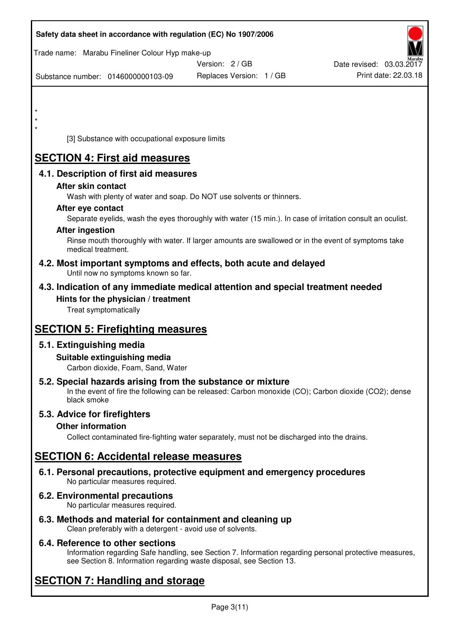|         |                              |                                                                    | Safety data sheet in accordance with regulation (EC) No 1907/2006                                                                                                   |                          |
|---------|------------------------------|--------------------------------------------------------------------|---------------------------------------------------------------------------------------------------------------------------------------------------------------------|--------------------------|
|         |                              | Trade name: Marabu Fineliner Colour Hyp make-up                    | Version: 2 / GB                                                                                                                                                     | Date revised: 03.03.2017 |
|         |                              | Substance number: 0146000000103-09                                 | Replaces Version: 1 / GB                                                                                                                                            | Print date: 22.03.18     |
|         |                              |                                                                    |                                                                                                                                                                     |                          |
|         |                              |                                                                    |                                                                                                                                                                     |                          |
|         |                              |                                                                    |                                                                                                                                                                     |                          |
| $\star$ |                              | [3] Substance with occupational exposure limits                    |                                                                                                                                                                     |                          |
|         |                              |                                                                    |                                                                                                                                                                     |                          |
|         |                              | <b>SECTION 4: First aid measures</b>                               |                                                                                                                                                                     |                          |
|         |                              | 4.1. Description of first aid measures                             |                                                                                                                                                                     |                          |
|         | After skin contact           |                                                                    | Wash with plenty of water and soap. Do NOT use solvents or thinners.                                                                                                |                          |
|         | After eye contact            |                                                                    |                                                                                                                                                                     |                          |
|         |                              |                                                                    | Separate eyelids, wash the eyes thoroughly with water (15 min.). In case of irritation consult an oculist.                                                          |                          |
|         | <b>After ingestion</b>       |                                                                    | Rinse mouth thoroughly with water. If larger amounts are swallowed or in the event of symptoms take                                                                 |                          |
|         | medical treatment.           |                                                                    |                                                                                                                                                                     |                          |
|         |                              | Until now no symptoms known so far.                                | 4.2. Most important symptoms and effects, both acute and delayed                                                                                                    |                          |
|         |                              |                                                                    | 4.3. Indication of any immediate medical attention and special treatment needed                                                                                     |                          |
|         |                              | Hints for the physician / treatment                                |                                                                                                                                                                     |                          |
|         | Treat symptomatically        |                                                                    |                                                                                                                                                                     |                          |
|         |                              | <b>SECTION 5: Firefighting measures</b>                            |                                                                                                                                                                     |                          |
|         | 5.1. Extinguishing media     |                                                                    |                                                                                                                                                                     |                          |
|         |                              | Suitable extinguishing media                                       |                                                                                                                                                                     |                          |
|         |                              | Carbon dioxide, Foam, Sand, Water                                  |                                                                                                                                                                     |                          |
|         | black smoke                  |                                                                    | 5.2. Special hazards arising from the substance or mixture<br>In the event of fire the following can be released: Carbon monoxide (CO); Carbon dioxide (CO2); dense |                          |
|         | 5.3. Advice for firefighters |                                                                    |                                                                                                                                                                     |                          |
|         | <b>Other information</b>     |                                                                    |                                                                                                                                                                     |                          |
|         |                              |                                                                    | Collect contaminated fire-fighting water separately, must not be discharged into the drains.                                                                        |                          |
|         |                              | <b>SECTION 6: Accidental release measures</b>                      |                                                                                                                                                                     |                          |
|         |                              | No particular measures required.                                   | 6.1. Personal precautions, protective equipment and emergency procedures                                                                                            |                          |
|         |                              | 6.2. Environmental precautions<br>No particular measures required. |                                                                                                                                                                     |                          |
|         |                              |                                                                    | 6.3. Methods and material for containment and cleaning up                                                                                                           |                          |

Clean preferably with a detergent - avoid use of solvents.

#### **6.4. Reference to other sections**

Information regarding Safe handling, see Section 7. Information regarding personal protective measures, see Section 8. Information regarding waste disposal, see Section 13.

# **SECTION 7: Handling and storage**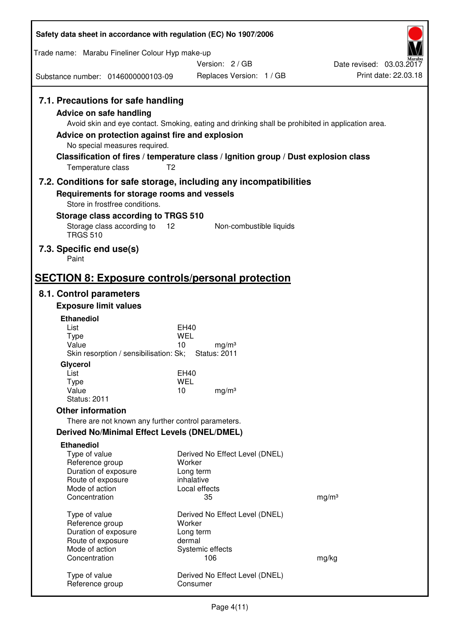| Safety data sheet in accordance with regulation (EC) No 1907/2006                                                                                                    |                                                                                                                                                                                          |                                                  |
|----------------------------------------------------------------------------------------------------------------------------------------------------------------------|------------------------------------------------------------------------------------------------------------------------------------------------------------------------------------------|--------------------------------------------------|
| Trade name: Marabu Fineliner Colour Hyp make-up                                                                                                                      |                                                                                                                                                                                          |                                                  |
|                                                                                                                                                                      | Version: 2 / GB                                                                                                                                                                          | Date revised: 03.03.2017<br>Print date: 22.03.18 |
| Substance number: 0146000000103-09                                                                                                                                   | Replaces Version: 1 / GB                                                                                                                                                                 |                                                  |
| 7.1. Precautions for safe handling<br><b>Advice on safe handling</b><br>Advice on protection against fire and explosion<br>No special measures required.             | Avoid skin and eye contact. Smoking, eating and drinking shall be prohibited in application area.<br>Classification of fires / temperature class / Ignition group / Dust explosion class |                                                  |
| Temperature class                                                                                                                                                    | T <sub>2</sub>                                                                                                                                                                           |                                                  |
| Requirements for storage rooms and vessels<br>Store in frostfree conditions.<br>Storage class according to TRGS 510<br>Storage class according to<br><b>TRGS 510</b> | 7.2. Conditions for safe storage, including any incompatibilities<br>12<br>Non-combustible liquids                                                                                       |                                                  |
| 7.3. Specific end use(s)<br>Paint                                                                                                                                    |                                                                                                                                                                                          |                                                  |
| <b>SECTION 8: Exposure controls/personal protection</b>                                                                                                              |                                                                                                                                                                                          |                                                  |
| 8.1. Control parameters                                                                                                                                              |                                                                                                                                                                                          |                                                  |
| <b>Exposure limit values</b>                                                                                                                                         |                                                                                                                                                                                          |                                                  |
| <b>Ethanediol</b>                                                                                                                                                    |                                                                                                                                                                                          |                                                  |
| List<br><b>Type</b>                                                                                                                                                  | <b>EH40</b><br><b>WEL</b>                                                                                                                                                                |                                                  |
| Value<br>Skin resorption / sensibilisation: Sk;                                                                                                                      | 10<br>mg/m <sup>3</sup><br><b>Status: 2011</b>                                                                                                                                           |                                                  |
| Glycerol<br>List                                                                                                                                                     |                                                                                                                                                                                          |                                                  |
| Type                                                                                                                                                                 | EH40<br><b>WEL</b>                                                                                                                                                                       |                                                  |
| Value<br><b>Status: 2011</b>                                                                                                                                         | 10<br>mg/m <sup>3</sup>                                                                                                                                                                  |                                                  |
| <b>Other information</b>                                                                                                                                             |                                                                                                                                                                                          |                                                  |
| There are not known any further control parameters.                                                                                                                  |                                                                                                                                                                                          |                                                  |
| <b>Derived No/Minimal Effect Levels (DNEL/DMEL)</b>                                                                                                                  |                                                                                                                                                                                          |                                                  |
| <b>Ethanediol</b><br>Type of value<br>Reference group<br>Duration of exposure<br>Route of exposure<br>Mode of action                                                 | Derived No Effect Level (DNEL)<br>Worker<br>Long term<br>inhalative<br>Local effects                                                                                                     |                                                  |
| Concentration                                                                                                                                                        | 35                                                                                                                                                                                       | mg/m <sup>3</sup>                                |
| Type of value<br>Reference group<br>Duration of exposure<br>Route of exposure<br>Mode of action                                                                      | Derived No Effect Level (DNEL)<br>Worker<br>Long term<br>dermal<br>Systemic effects                                                                                                      |                                                  |
| Concentration                                                                                                                                                        | 106                                                                                                                                                                                      | mg/kg                                            |
| Type of value<br>Reference group                                                                                                                                     | Derived No Effect Level (DNEL)<br>Consumer                                                                                                                                               |                                                  |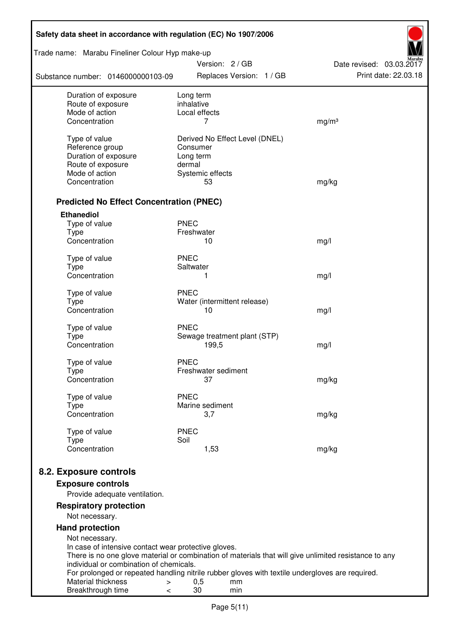| Safety data sheet in accordance with regulation (EC) No 1907/2006 |                                                                                                       |                          |  |  |
|-------------------------------------------------------------------|-------------------------------------------------------------------------------------------------------|--------------------------|--|--|
| Trade name: Marabu Fineliner Colour Hyp make-up                   | Version: 2 / GB                                                                                       | Date revised: 03.03.2017 |  |  |
| Substance number: 0146000000103-09                                | Replaces Version: 1 / GB                                                                              | Print date: 22.03.18     |  |  |
| Duration of exposure<br>Route of exposure                         | Long term<br>inhalative                                                                               |                          |  |  |
| Mode of action                                                    | Local effects                                                                                         |                          |  |  |
| Concentration                                                     | 7                                                                                                     | mg/m <sup>3</sup>        |  |  |
| Type of value                                                     | Derived No Effect Level (DNEL)                                                                        |                          |  |  |
| Reference group                                                   | Consumer                                                                                              |                          |  |  |
| Duration of exposure                                              | Long term                                                                                             |                          |  |  |
| Route of exposure                                                 | dermal                                                                                                |                          |  |  |
| Mode of action<br>Concentration                                   | Systemic effects<br>53                                                                                |                          |  |  |
|                                                                   |                                                                                                       | mg/kg                    |  |  |
| <b>Predicted No Effect Concentration (PNEC)</b>                   |                                                                                                       |                          |  |  |
| <b>Ethanediol</b>                                                 |                                                                                                       |                          |  |  |
| Type of value                                                     | <b>PNEC</b>                                                                                           |                          |  |  |
| <b>Type</b><br>Concentration                                      | Freshwater<br>10                                                                                      | mg/l                     |  |  |
|                                                                   |                                                                                                       |                          |  |  |
| Type of value                                                     | <b>PNEC</b>                                                                                           |                          |  |  |
| <b>Type</b>                                                       | Saltwater                                                                                             |                          |  |  |
| Concentration                                                     | 1                                                                                                     | mg/l                     |  |  |
| Type of value                                                     | <b>PNEC</b>                                                                                           |                          |  |  |
| <b>Type</b>                                                       | Water (intermittent release)                                                                          |                          |  |  |
| Concentration                                                     | 10                                                                                                    | mg/l                     |  |  |
| Type of value                                                     | <b>PNEC</b>                                                                                           |                          |  |  |
| <b>Type</b>                                                       | Sewage treatment plant (STP)                                                                          |                          |  |  |
| Concentration                                                     | 199,5                                                                                                 | mg/l                     |  |  |
|                                                                   |                                                                                                       |                          |  |  |
| Type of value<br>Type                                             | <b>PNEC</b><br>Freshwater sediment                                                                    |                          |  |  |
| Concentration                                                     | 37                                                                                                    | mg/kg                    |  |  |
|                                                                   |                                                                                                       |                          |  |  |
| Type of value                                                     | <b>PNEC</b>                                                                                           |                          |  |  |
| Type<br>Concentration                                             | Marine sediment<br>3,7                                                                                | mg/kg                    |  |  |
|                                                                   |                                                                                                       |                          |  |  |
| Type of value                                                     | <b>PNEC</b>                                                                                           |                          |  |  |
| <b>Type</b>                                                       | Soil                                                                                                  |                          |  |  |
| Concentration                                                     | 1,53                                                                                                  | mg/kg                    |  |  |
| 8.2. Exposure controls                                            |                                                                                                       |                          |  |  |
| <b>Exposure controls</b>                                          |                                                                                                       |                          |  |  |
| Provide adequate ventilation.                                     |                                                                                                       |                          |  |  |
| <b>Respiratory protection</b>                                     |                                                                                                       |                          |  |  |
| Not necessary.                                                    |                                                                                                       |                          |  |  |
| <b>Hand protection</b>                                            |                                                                                                       |                          |  |  |
| Not necessary.                                                    |                                                                                                       |                          |  |  |
| In case of intensive contact wear protective gloves.              | There is no one glove material or combination of materials that will give unlimited resistance to any |                          |  |  |
| individual or combination of chemicals.                           |                                                                                                       |                          |  |  |
|                                                                   | For prolonged or repeated handling nitrile rubber gloves with textile undergloves are required.       |                          |  |  |
| Material thickness<br>$\, > \,$                                   | 0,5<br>mm                                                                                             |                          |  |  |
| Breakthrough time<br>$\,<\,$                                      | 30<br>min                                                                                             |                          |  |  |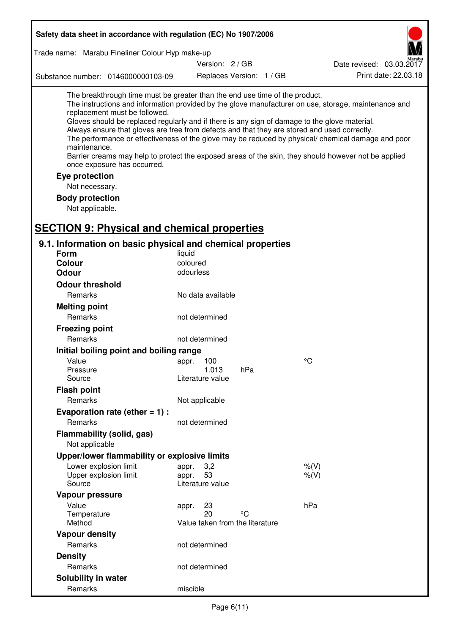| Safety data sheet in accordance with regulation (EC) No 1907/2006                                                                                                                                                                                                                                                                                            |                                                      |                          |                                                                                                                                                                                                                                                                                                                    |
|--------------------------------------------------------------------------------------------------------------------------------------------------------------------------------------------------------------------------------------------------------------------------------------------------------------------------------------------------------------|------------------------------------------------------|--------------------------|--------------------------------------------------------------------------------------------------------------------------------------------------------------------------------------------------------------------------------------------------------------------------------------------------------------------|
| Trade name: Marabu Fineliner Colour Hyp make-up                                                                                                                                                                                                                                                                                                              |                                                      |                          |                                                                                                                                                                                                                                                                                                                    |
|                                                                                                                                                                                                                                                                                                                                                              | Version: 2 / GB                                      |                          | Date revised: 03.03.2017                                                                                                                                                                                                                                                                                           |
| Substance number: 0146000000103-09                                                                                                                                                                                                                                                                                                                           |                                                      | Replaces Version: 1 / GB | Print date: 22.03.18                                                                                                                                                                                                                                                                                               |
| The breakthrough time must be greater than the end use time of the product.<br>replacement must be followed.<br>Gloves should be replaced regularly and if there is any sign of damage to the glove material.<br>Always ensure that gloves are free from defects and that they are stored and used correctly.<br>maintenance.<br>once exposure has occurred. |                                                      |                          | The instructions and information provided by the glove manufacturer on use, storage, maintenance and<br>The performance or effectiveness of the glove may be reduced by physical/ chemical damage and poor<br>Barrier creams may help to protect the exposed areas of the skin, they should however not be applied |
| Eye protection<br>Not necessary.                                                                                                                                                                                                                                                                                                                             |                                                      |                          |                                                                                                                                                                                                                                                                                                                    |
| <b>Body protection</b><br>Not applicable.<br><b>SECTION 9: Physical and chemical properties</b>                                                                                                                                                                                                                                                              |                                                      |                          |                                                                                                                                                                                                                                                                                                                    |
| 9.1. Information on basic physical and chemical properties                                                                                                                                                                                                                                                                                                   |                                                      |                          |                                                                                                                                                                                                                                                                                                                    |
| <b>Form</b>                                                                                                                                                                                                                                                                                                                                                  | liquid                                               |                          |                                                                                                                                                                                                                                                                                                                    |
| <b>Colour</b>                                                                                                                                                                                                                                                                                                                                                | coloured                                             |                          |                                                                                                                                                                                                                                                                                                                    |
| <b>Odour</b>                                                                                                                                                                                                                                                                                                                                                 | odourless                                            |                          |                                                                                                                                                                                                                                                                                                                    |
| <b>Odour threshold</b>                                                                                                                                                                                                                                                                                                                                       |                                                      |                          |                                                                                                                                                                                                                                                                                                                    |
| Remarks                                                                                                                                                                                                                                                                                                                                                      | No data available                                    |                          |                                                                                                                                                                                                                                                                                                                    |
| <b>Melting point</b>                                                                                                                                                                                                                                                                                                                                         |                                                      |                          |                                                                                                                                                                                                                                                                                                                    |
| Remarks                                                                                                                                                                                                                                                                                                                                                      | not determined                                       |                          |                                                                                                                                                                                                                                                                                                                    |
| <b>Freezing point</b>                                                                                                                                                                                                                                                                                                                                        |                                                      |                          |                                                                                                                                                                                                                                                                                                                    |
| Remarks                                                                                                                                                                                                                                                                                                                                                      | not determined                                       |                          |                                                                                                                                                                                                                                                                                                                    |
| Initial boiling point and boiling range                                                                                                                                                                                                                                                                                                                      |                                                      |                          |                                                                                                                                                                                                                                                                                                                    |
| Value                                                                                                                                                                                                                                                                                                                                                        | appr.<br>100                                         |                          | °C                                                                                                                                                                                                                                                                                                                 |
| Pressure<br>Source                                                                                                                                                                                                                                                                                                                                           | 1.013<br>Literature value                            | hPa                      |                                                                                                                                                                                                                                                                                                                    |
| <b>Flash point</b>                                                                                                                                                                                                                                                                                                                                           |                                                      |                          |                                                                                                                                                                                                                                                                                                                    |
| Remarks                                                                                                                                                                                                                                                                                                                                                      | Not applicable                                       |                          |                                                                                                                                                                                                                                                                                                                    |
| Evaporation rate (ether $= 1$ ) :                                                                                                                                                                                                                                                                                                                            |                                                      |                          |                                                                                                                                                                                                                                                                                                                    |
| Remarks                                                                                                                                                                                                                                                                                                                                                      | not determined                                       |                          |                                                                                                                                                                                                                                                                                                                    |
| Flammability (solid, gas)<br>Not applicable                                                                                                                                                                                                                                                                                                                  |                                                      |                          |                                                                                                                                                                                                                                                                                                                    |
| Upper/lower flammability or explosive limits                                                                                                                                                                                                                                                                                                                 |                                                      |                          |                                                                                                                                                                                                                                                                                                                    |
| Lower explosion limit                                                                                                                                                                                                                                                                                                                                        | 3,2<br>appr.                                         |                          | $%$ $(V)$                                                                                                                                                                                                                                                                                                          |
| Upper explosion limit<br>Source                                                                                                                                                                                                                                                                                                                              | 53<br>appr.<br>Literature value                      |                          | $%$ (V)                                                                                                                                                                                                                                                                                                            |
| Vapour pressure                                                                                                                                                                                                                                                                                                                                              |                                                      |                          |                                                                                                                                                                                                                                                                                                                    |
| Value<br>Temperature<br>Method                                                                                                                                                                                                                                                                                                                               | 23<br>appr.<br>20<br>Value taken from the literature | °C                       | hPa                                                                                                                                                                                                                                                                                                                |
| <b>Vapour density</b>                                                                                                                                                                                                                                                                                                                                        |                                                      |                          |                                                                                                                                                                                                                                                                                                                    |
| Remarks                                                                                                                                                                                                                                                                                                                                                      | not determined                                       |                          |                                                                                                                                                                                                                                                                                                                    |
| <b>Density</b>                                                                                                                                                                                                                                                                                                                                               |                                                      |                          |                                                                                                                                                                                                                                                                                                                    |
| Remarks                                                                                                                                                                                                                                                                                                                                                      | not determined                                       |                          |                                                                                                                                                                                                                                                                                                                    |
| Solubility in water                                                                                                                                                                                                                                                                                                                                          |                                                      |                          |                                                                                                                                                                                                                                                                                                                    |
| Remarks                                                                                                                                                                                                                                                                                                                                                      | miscible                                             |                          |                                                                                                                                                                                                                                                                                                                    |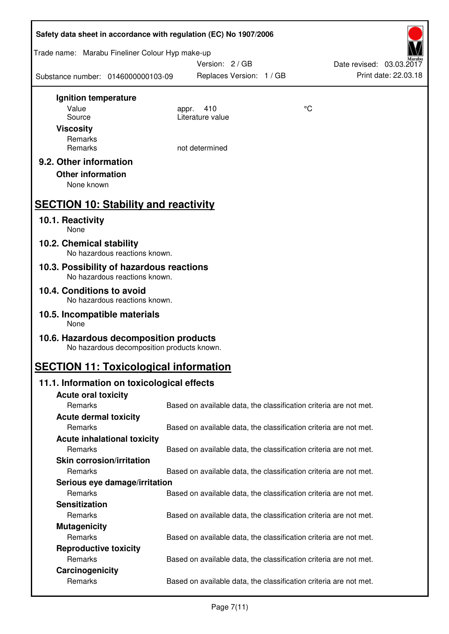| Safety data sheet in accordance with regulation (EC) No 1907/2006 |                                            |                                                                   |    |                          |
|-------------------------------------------------------------------|--------------------------------------------|-------------------------------------------------------------------|----|--------------------------|
| Trade name: Marabu Fineliner Colour Hyp make-up                   |                                            | Version: 2/GB                                                     |    | Date revised: 03.03.2017 |
| Substance number: 0146000000103-09                                |                                            | Replaces Version: 1 / GB                                          |    | Print date: 22.03.18     |
| Ignition temperature                                              |                                            |                                                                   |    |                          |
| Value                                                             |                                            | 410<br>appr.                                                      | °C |                          |
| Source                                                            |                                            | Literature value                                                  |    |                          |
| <b>Viscosity</b>                                                  |                                            |                                                                   |    |                          |
| Remarks                                                           |                                            |                                                                   |    |                          |
| Remarks                                                           |                                            | not determined                                                    |    |                          |
| 9.2. Other information                                            |                                            |                                                                   |    |                          |
| <b>Other information</b>                                          |                                            |                                                                   |    |                          |
| None known                                                        |                                            |                                                                   |    |                          |
| <b>SECTION 10: Stability and reactivity</b>                       |                                            |                                                                   |    |                          |
| 10.1. Reactivity<br>None                                          |                                            |                                                                   |    |                          |
| 10.2. Chemical stability                                          |                                            |                                                                   |    |                          |
| 10.3. Possibility of hazardous reactions                          | No hazardous reactions known.              |                                                                   |    |                          |
|                                                                   | No hazardous reactions known.              |                                                                   |    |                          |
| 10.4. Conditions to avoid                                         | No hazardous reactions known.              |                                                                   |    |                          |
| 10.5. Incompatible materials<br><b>None</b>                       |                                            |                                                                   |    |                          |
| 10.6. Hazardous decomposition products                            | No hazardous decomposition products known. |                                                                   |    |                          |
| <b>SECTION 11: Toxicological information</b>                      |                                            |                                                                   |    |                          |
| 11.1. Information on toxicological effects                        |                                            |                                                                   |    |                          |
| <b>Acute oral toxicity</b>                                        |                                            |                                                                   |    |                          |
| Remarks                                                           |                                            | Based on available data, the classification criteria are not met. |    |                          |
| <b>Acute dermal toxicity</b>                                      |                                            |                                                                   |    |                          |
| Remarks                                                           |                                            | Based on available data, the classification criteria are not met. |    |                          |
| <b>Acute inhalational toxicity</b>                                |                                            |                                                                   |    |                          |
| Remarks                                                           |                                            | Based on available data, the classification criteria are not met. |    |                          |
| <b>Skin corrosion/irritation</b>                                  |                                            |                                                                   |    |                          |
| Remarks                                                           |                                            | Based on available data, the classification criteria are not met. |    |                          |
| Serious eye damage/irritation                                     |                                            |                                                                   |    |                          |
| Remarks                                                           |                                            | Based on available data, the classification criteria are not met. |    |                          |
| <b>Sensitization</b>                                              |                                            |                                                                   |    |                          |
| Remarks                                                           |                                            | Based on available data, the classification criteria are not met. |    |                          |
| <b>Mutagenicity</b>                                               |                                            |                                                                   |    |                          |
| Remarks                                                           |                                            | Based on available data, the classification criteria are not met. |    |                          |
| <b>Reproductive toxicity</b>                                      |                                            |                                                                   |    |                          |
| Remarks                                                           |                                            | Based on available data, the classification criteria are not met. |    |                          |
| Carcinogenicity                                                   |                                            |                                                                   |    |                          |
| Remarks                                                           |                                            | Based on available data, the classification criteria are not met. |    |                          |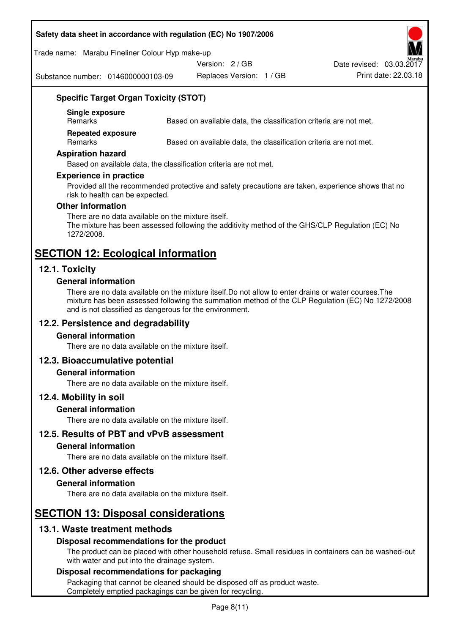#### **Safety data sheet in accordance with regulation (EC) No 1907/2006**

Trade name: Marabu Fineliner Colour Hyp make-up

Version: 2 / GB

Substance number: 0146000000103-09

**Specific Target Organ Toxicity (STOT)** 

**Single exposure** 

Based on available data, the classification criteria are not met.

**Repeated exposure** 

Remarks Based on available data, the classification criteria are not met.

#### **Aspiration hazard**

Based on available data, the classification criteria are not met.

#### **Experience in practice**

Provided all the recommended protective and safety precautions are taken, experience shows that no risk to health can be expected.

#### **Other information**

There are no data available on the mixture itself. The mixture has been assessed following the additivity method of the GHS/CLP Regulation (EC) No 1272/2008.

## **SECTION 12: Ecological information**

#### **12.1. Toxicity**

#### **General information**

There are no data available on the mixture itself.Do not allow to enter drains or water courses.The mixture has been assessed following the summation method of the CLP Regulation (EC) No 1272/2008 and is not classified as dangerous for the environment.

#### **12.2. Persistence and degradability**

#### **General information**

There are no data available on the mixture itself.

#### **12.3. Bioaccumulative potential**

#### **General information**

There are no data available on the mixture itself.

#### **12.4. Mobility in soil**

#### **General information**

There are no data available on the mixture itself.

**12.5. Results of PBT and vPvB assessment** 

#### **General information**

There are no data available on the mixture itself.

#### **12.6. Other adverse effects**

#### **General information**

There are no data available on the mixture itself.

# **SECTION 13: Disposal considerations**

#### **13.1. Waste treatment methods**

#### **Disposal recommendations for the product**

The product can be placed with other household refuse. Small residues in containers can be washed-out with water and put into the drainage system.

#### **Disposal recommendations for packaging**

Packaging that cannot be cleaned should be disposed off as product waste. Completely emptied packagings can be given for recycling.



Replaces Version: 1 / GB Print date: 22.03.18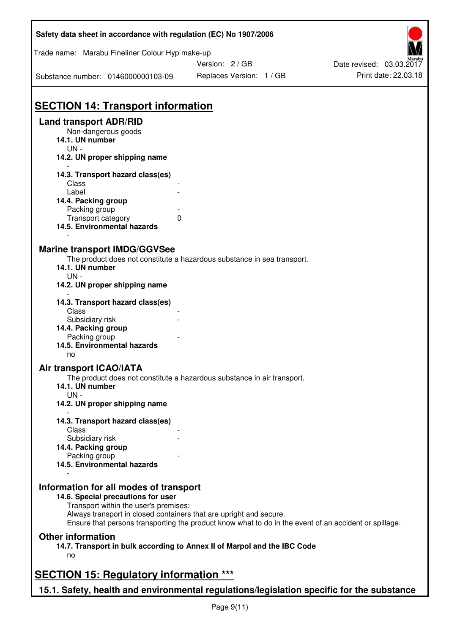| Safety data sheet in accordance with regulation (EC) No 1907/2006                                                                                                           |                          |                          |                      |
|-----------------------------------------------------------------------------------------------------------------------------------------------------------------------------|--------------------------|--------------------------|----------------------|
| Trade name: Marabu Fineliner Colour Hyp make-up                                                                                                                             |                          |                          |                      |
|                                                                                                                                                                             | Version: 2/GB            | Date revised: 03.03.2017 |                      |
| Substance number: 0146000000103-09                                                                                                                                          | Replaces Version: 1 / GB |                          | Print date: 22.03.18 |
| <b>SECTION 14: Transport information</b>                                                                                                                                    |                          |                          |                      |
| <b>Land transport ADR/RID</b>                                                                                                                                               |                          |                          |                      |
| Non-dangerous goods<br>14.1. UN number<br>$UN -$                                                                                                                            |                          |                          |                      |
| 14.2. UN proper shipping name                                                                                                                                               |                          |                          |                      |
| 14.3. Transport hazard class(es)                                                                                                                                            |                          |                          |                      |
| Class                                                                                                                                                                       |                          |                          |                      |
| Label                                                                                                                                                                       |                          |                          |                      |
| 14.4. Packing group                                                                                                                                                         |                          |                          |                      |
| Packing group                                                                                                                                                               |                          |                          |                      |
| Transport category                                                                                                                                                          | 0                        |                          |                      |
| 14.5. Environmental hazards                                                                                                                                                 |                          |                          |                      |
| <b>Marine transport IMDG/GGVSee</b><br>The product does not constitute a hazardous substance in sea transport.<br>14.1. UN number<br>UN-<br>14.2. UN proper shipping name   |                          |                          |                      |
| 14.3. Transport hazard class(es)<br>Class                                                                                                                                   |                          |                          |                      |
|                                                                                                                                                                             |                          |                          |                      |
| Subsidiary risk                                                                                                                                                             |                          |                          |                      |
| 14.4. Packing group                                                                                                                                                         |                          |                          |                      |
| Packing group                                                                                                                                                               |                          |                          |                      |
| 14.5. Environmental hazards<br>no                                                                                                                                           |                          |                          |                      |
| Air transport ICAO/IATA                                                                                                                                                     |                          |                          |                      |
| The product does not constitute a hazardous substance in air transport.<br>14.1. UN number                                                                                  |                          |                          |                      |
| $UN -$<br>14.2. UN proper shipping name                                                                                                                                     |                          |                          |                      |
|                                                                                                                                                                             |                          |                          |                      |
| 14.3. Transport hazard class(es)<br>Class                                                                                                                                   |                          |                          |                      |
|                                                                                                                                                                             |                          |                          |                      |
| Subsidiary risk                                                                                                                                                             |                          |                          |                      |
| 14.4. Packing group                                                                                                                                                         |                          |                          |                      |
| Packing group                                                                                                                                                               |                          |                          |                      |
| 14.5. Environmental hazards                                                                                                                                                 |                          |                          |                      |
| Information for all modes of transport<br>14.6. Special precautions for user<br>Transport within the user's premises:                                                       |                          |                          |                      |
| Always transport in closed containers that are upright and secure.<br>Ensure that persons transporting the product know what to do in the event of an accident or spillage. |                          |                          |                      |
| <b>Other information</b>                                                                                                                                                    |                          |                          |                      |
| 14.7. Transport in bulk according to Annex II of Marpol and the IBC Code<br>no                                                                                              |                          |                          |                      |
|                                                                                                                                                                             |                          |                          |                      |
| <b>SECTION 15: Regulatory information ***</b>                                                                                                                               |                          |                          |                      |
| 15.1. Safety, health and environmental regulations/legislation specific for the substance                                                                                   |                          |                          |                      |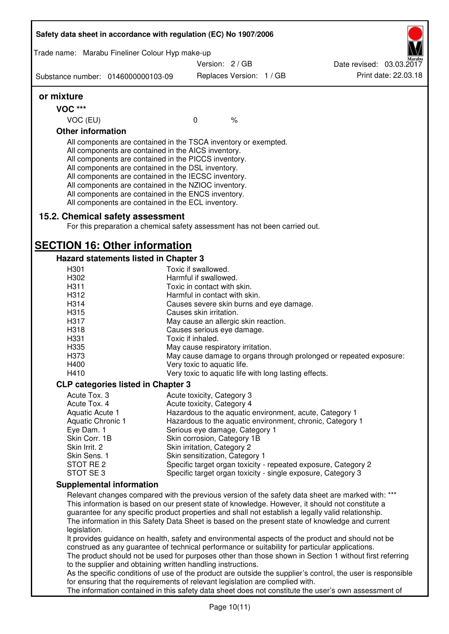| Safety data sheet in accordance with regulation (EC) No 1907/2006                                                                                                                                                                                                                                                                                                                                                                                                 |                                                                                      |                          |                                                                                                              |
|-------------------------------------------------------------------------------------------------------------------------------------------------------------------------------------------------------------------------------------------------------------------------------------------------------------------------------------------------------------------------------------------------------------------------------------------------------------------|--------------------------------------------------------------------------------------|--------------------------|--------------------------------------------------------------------------------------------------------------|
| Trade name: Marabu Fineliner Colour Hyp make-up                                                                                                                                                                                                                                                                                                                                                                                                                   |                                                                                      |                          |                                                                                                              |
|                                                                                                                                                                                                                                                                                                                                                                                                                                                                   | Version: 2 / GB                                                                      |                          | Date revised: 03.03.2017                                                                                     |
| Substance number: 0146000000103-09                                                                                                                                                                                                                                                                                                                                                                                                                                |                                                                                      | Replaces Version: 1 / GB | Print date: 22.03.18                                                                                         |
| or mixture                                                                                                                                                                                                                                                                                                                                                                                                                                                        |                                                                                      |                          |                                                                                                              |
| <b>VOC ***</b>                                                                                                                                                                                                                                                                                                                                                                                                                                                    |                                                                                      |                          |                                                                                                              |
| VOC (EU)                                                                                                                                                                                                                                                                                                                                                                                                                                                          | $\mathbf 0$                                                                          | $\%$                     |                                                                                                              |
| <b>Other information</b>                                                                                                                                                                                                                                                                                                                                                                                                                                          |                                                                                      |                          |                                                                                                              |
| All components are contained in the TSCA inventory or exempted.<br>All components are contained in the AICS inventory.<br>All components are contained in the PICCS inventory.<br>All components are contained in the DSL inventory.<br>All components are contained in the IECSC inventory.<br>All components are contained in the NZIOC inventory.<br>All components are contained in the ENCS inventory.<br>All components are contained in the ECL inventory. |                                                                                      |                          |                                                                                                              |
| 15.2. Chemical safety assessment                                                                                                                                                                                                                                                                                                                                                                                                                                  |                                                                                      |                          |                                                                                                              |
| For this preparation a chemical safety assessment has not been carried out.                                                                                                                                                                                                                                                                                                                                                                                       |                                                                                      |                          |                                                                                                              |
| <b>SECTION 16: Other information</b>                                                                                                                                                                                                                                                                                                                                                                                                                              |                                                                                      |                          |                                                                                                              |
| Hazard statements listed in Chapter 3                                                                                                                                                                                                                                                                                                                                                                                                                             |                                                                                      |                          |                                                                                                              |
| H301                                                                                                                                                                                                                                                                                                                                                                                                                                                              | Toxic if swallowed.                                                                  |                          |                                                                                                              |
| H302                                                                                                                                                                                                                                                                                                                                                                                                                                                              | Harmful if swallowed.                                                                |                          |                                                                                                              |
| H311                                                                                                                                                                                                                                                                                                                                                                                                                                                              | Toxic in contact with skin.                                                          |                          |                                                                                                              |
| H312                                                                                                                                                                                                                                                                                                                                                                                                                                                              | Harmful in contact with skin.                                                        |                          |                                                                                                              |
| H314                                                                                                                                                                                                                                                                                                                                                                                                                                                              | Causes severe skin burns and eye damage.                                             |                          |                                                                                                              |
| H315                                                                                                                                                                                                                                                                                                                                                                                                                                                              | Causes skin irritation.                                                              |                          |                                                                                                              |
| H317                                                                                                                                                                                                                                                                                                                                                                                                                                                              | May cause an allergic skin reaction.                                                 |                          |                                                                                                              |
| H318                                                                                                                                                                                                                                                                                                                                                                                                                                                              | Causes serious eye damage.                                                           |                          |                                                                                                              |
| H331                                                                                                                                                                                                                                                                                                                                                                                                                                                              | Toxic if inhaled.                                                                    |                          |                                                                                                              |
| H335                                                                                                                                                                                                                                                                                                                                                                                                                                                              | May cause respiratory irritation.                                                    |                          |                                                                                                              |
| H373<br>H400                                                                                                                                                                                                                                                                                                                                                                                                                                                      |                                                                                      |                          | May cause damage to organs through prolonged or repeated exposure:                                           |
| H410                                                                                                                                                                                                                                                                                                                                                                                                                                                              | Very toxic to aquatic life.<br>Very toxic to aquatic life with long lasting effects. |                          |                                                                                                              |
| <b>CLP categories listed in Chapter 3</b>                                                                                                                                                                                                                                                                                                                                                                                                                         |                                                                                      |                          |                                                                                                              |
| Acute Tox. 3                                                                                                                                                                                                                                                                                                                                                                                                                                                      | Acute toxicity, Category 3                                                           |                          |                                                                                                              |
| Acute Tox. 4                                                                                                                                                                                                                                                                                                                                                                                                                                                      | Acute toxicity, Category 4                                                           |                          |                                                                                                              |
| Aquatic Acute 1                                                                                                                                                                                                                                                                                                                                                                                                                                                   | Hazardous to the aquatic environment, acute, Category 1                              |                          |                                                                                                              |
| Aquatic Chronic 1                                                                                                                                                                                                                                                                                                                                                                                                                                                 |                                                                                      |                          | Hazardous to the aquatic environment, chronic, Category 1                                                    |
| Eye Dam. 1                                                                                                                                                                                                                                                                                                                                                                                                                                                        | Serious eye damage, Category 1                                                       |                          |                                                                                                              |
| Skin Corr. 1B                                                                                                                                                                                                                                                                                                                                                                                                                                                     | Skin corrosion, Category 1B                                                          |                          |                                                                                                              |
| Skin Irrit. 2                                                                                                                                                                                                                                                                                                                                                                                                                                                     | Skin irritation, Category 2                                                          |                          |                                                                                                              |
| Skin Sens. 1                                                                                                                                                                                                                                                                                                                                                                                                                                                      | Skin sensitization, Category 1                                                       |                          |                                                                                                              |
| STOT RE 2                                                                                                                                                                                                                                                                                                                                                                                                                                                         |                                                                                      |                          | Specific target organ toxicity - repeated exposure, Category 2                                               |
| STOT SE3                                                                                                                                                                                                                                                                                                                                                                                                                                                          | Specific target organ toxicity - single exposure, Category 3                         |                          |                                                                                                              |
| <b>Supplemental information</b>                                                                                                                                                                                                                                                                                                                                                                                                                                   |                                                                                      |                          |                                                                                                              |
| Relevant changes compared with the previous version of the safety data sheet are marked with: ***                                                                                                                                                                                                                                                                                                                                                                 |                                                                                      |                          |                                                                                                              |
| This information is based on our present state of knowledge. However, it should not constitute a                                                                                                                                                                                                                                                                                                                                                                  |                                                                                      |                          |                                                                                                              |
| guarantee for any specific product properties and shall not establish a legally valid relationship.<br>The information in this Safety Data Sheet is based on the present state of knowledge and current                                                                                                                                                                                                                                                           |                                                                                      |                          |                                                                                                              |
| legislation.                                                                                                                                                                                                                                                                                                                                                                                                                                                      |                                                                                      |                          |                                                                                                              |
| It provides guidance on health, safety and environmental aspects of the product and should not be<br>construed as any guarantee of technical performance or suitability for particular applications.                                                                                                                                                                                                                                                              |                                                                                      |                          |                                                                                                              |
|                                                                                                                                                                                                                                                                                                                                                                                                                                                                   |                                                                                      |                          | The product should not be used for purposes other than those shown in Section 1 without first referring      |
| to the supplier and obtaining written handling instructions.                                                                                                                                                                                                                                                                                                                                                                                                      |                                                                                      |                          |                                                                                                              |
|                                                                                                                                                                                                                                                                                                                                                                                                                                                                   |                                                                                      |                          | As the specific conditions of use of the product are outside the supplier's control, the user is responsible |
| for ensuring that the requirements of relevant legislation are complied with.                                                                                                                                                                                                                                                                                                                                                                                     |                                                                                      |                          |                                                                                                              |
|                                                                                                                                                                                                                                                                                                                                                                                                                                                                   |                                                                                      |                          | The information contained in this safety data sheet does not constitute the user's own assessment of         |